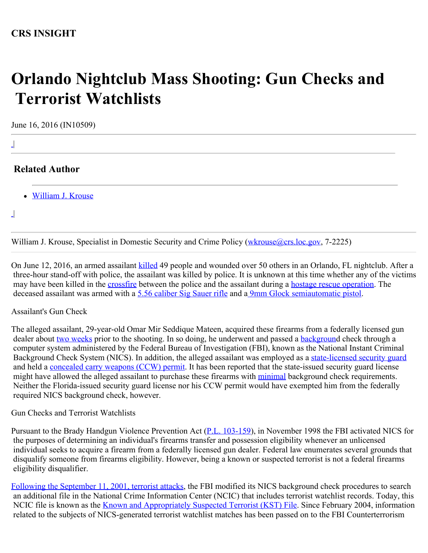## **CRS INSIGHT**

# **Orlando Nightclub Mass Shooting: Gun Checks and Terrorist Watchlists**

June 16, 2016 (IN10509)

|

|

 $\perp$ 

### **Related Author**

[William J. Krouse](http://www.crs.gov/Author/index?id=3802)

William J. Krouse, Specialist in Domestic Security and Crime Policy [\(wkrouse@crs.loc.gov](mailto:wkrouse@crs.loc.gov), 7-2225)

On June 12, 2016, an armed assailant [killed](http://www.cnn.com/2016/06/12/us/orlando-nightclub-shooting/) 49 people and wounded over 50 others in an Orlando, FL nightclub. After a three-hour stand-off with police, the assailant was killed by police. It is unknown at this time whether any of the victims may have been killed in the [crossfire](https://www.washingtonpost.com/national/when-active-shooter-event-became-hostage-situation-police-made-tough-call/2016/06/13/dadcebf6-317e-11e6-8ff7-7b6c1998b7a0_story.html) between the police and the assailant during a [hostage rescue operation.](https://www.washingtonpost.com/national/when-active-shooter-event-became-hostage-situation-police-made-tough-call/2016/06/13/dadcebf6-317e-11e6-8ff7-7b6c1998b7a0_story.html) The deceased assailant was armed with a [5.56 caliber Sig Sauer rifle](https://www.washingtonpost.com/news/checkpoint/wp/2016/06/14/the-gun-the-orlando-shooter-used-was-not-an-ar-15-that-doesnt-change-much/) and [a 9mm Glock semiautomatic pistol](http://www.cnn.com/2016/06/12/us/orlando-shooting-what-we-know/index.html).

#### Assailant's Gun Check

The alleged assailant, 29-year-old Omar Mir Seddique Mateen, acquired these firearms from a federally licensed gun dealer about [two weeks](http://www.cnn.com/2016/06/12/us/orlando-shooting-what-we-know/index.html) prior to the shooting. In so doing, he underwent and passed a **background** check through a computer system administered by the Federal Bureau of Investigation (FBI), known as the National Instant Criminal Background Check System (NICS). In addition, the alleged assailant was employed as a [state-licensed security guard](https://www.washingtonpost.com/news/post-nation/wp/2016/06/12/orlando-nightclub-shooting-about-20-dead-in-domestic-terror-incident-at-gay-club/?utm_term=.e84095619039) and held a [concealed carry weapons \(CCW\) permit](https://www.washingtonpost.com/news/post-nation/wp/2016/06/12/orlando-nightclub-shooting-about-20-dead-in-domestic-terror-incident-at-gay-club/?utm_term=.e84095619039). It has been reported that the state-issued security guard license might have allowed the alleged assailant to purchase these firearms with [minimal](http://www.cnn.com/2016/06/12/us/orlando-shooting-what-we-know/index.html) background check requirements. Neither the Florida-issued security guard license nor his CCW permit would have exempted him from the federally required NICS background check, however.

Gun Checks and Terrorist Watchlists

Pursuant to the Brady Handgun Violence Prevention Act ([P.L. 103-159\)](http://www.congress.gov/cgi-lis/bdquery/R?d103:FLD002:@1(103+159)), in November 1998 the FBI activated NICS for the purposes of determining an individual's firearms transfer and possession eligibility whenever an unlicensed individual seeks to acquire a firearm from a federally licensed gun dealer. Federal law enumerates several grounds that disqualify someone from firearms eligibility. However, being a known or suspected terrorist is not a federal firearms eligibility disqualifier.

[Following the September 11, 2001, terrorist attacks](https://www.fas.org/sgp/crs/terror/R42336.pdf), the FBI modified its NICS background check procedures to search an additional file in the National Crime Information Center (NCIC) that includes terrorist watchlist records. Today, this NCIC file is known as the **Known and Appropriately Suspected Terrorist (KST) File**. Since February 2004, information related to the subjects of NICS-generated terrorist watchlist matches has been passed on to the FBI Counterterrorism